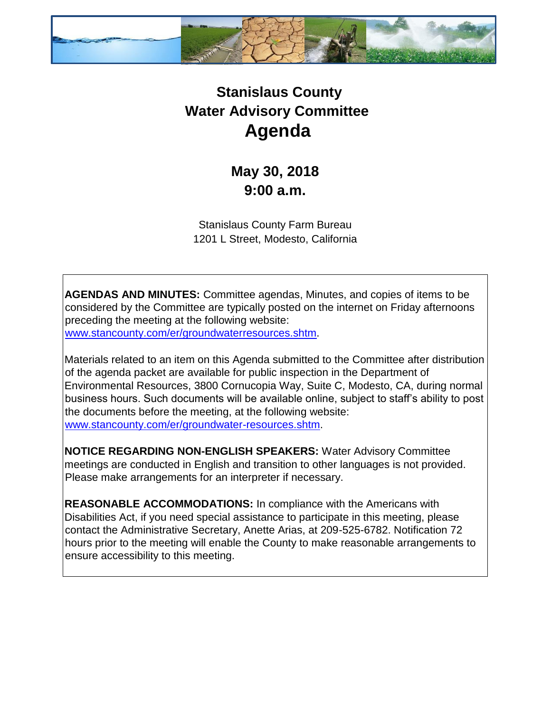

## **Stanislaus County Water Advisory Committee Agenda**

## **May 30, 2018 9:00 a.m.**

Stanislaus County Farm Bureau 1201 L Street, Modesto, California

**AGENDAS AND MINUTES:** Committee agendas, Minutes, and copies of items to be considered by the Committee are typically posted on the internet on Friday afternoons preceding the meeting at the following website: [www.stancounty.com/er/groundwaterresources.shtm.](http://www.stancounty.com/er/groundwater-resources.shtm) 

Materials related to an item on this Agenda submitted to the Committee after distribution of the agenda packet are available for public inspection in the Department of Environmental Resources, 3800 Cornucopia Way, Suite C, Modesto, CA, during normal business hours. Such documents will be available online, subject to staff's ability to post the documents before the meeting, at the following website: [www.stancounty.com/er/groundwater-resources.shtm.](http://www.stancounty.com/er/groundwater-resources.shtm) 

**NOTICE REGARDING NON-ENGLISH SPEAKERS:** Water Advisory Committee meetings are conducted in English and transition to other languages is not provided. Please make arrangements for an interpreter if necessary.

**REASONABLE ACCOMMODATIONS:** In compliance with the Americans with Disabilities Act, if you need special assistance to participate in this meeting, please contact the Administrative Secretary, Anette Arias, at 209-525-6782. Notification 72 hours prior to the meeting will enable the County to make reasonable arrangements to ensure accessibility to this meeting.